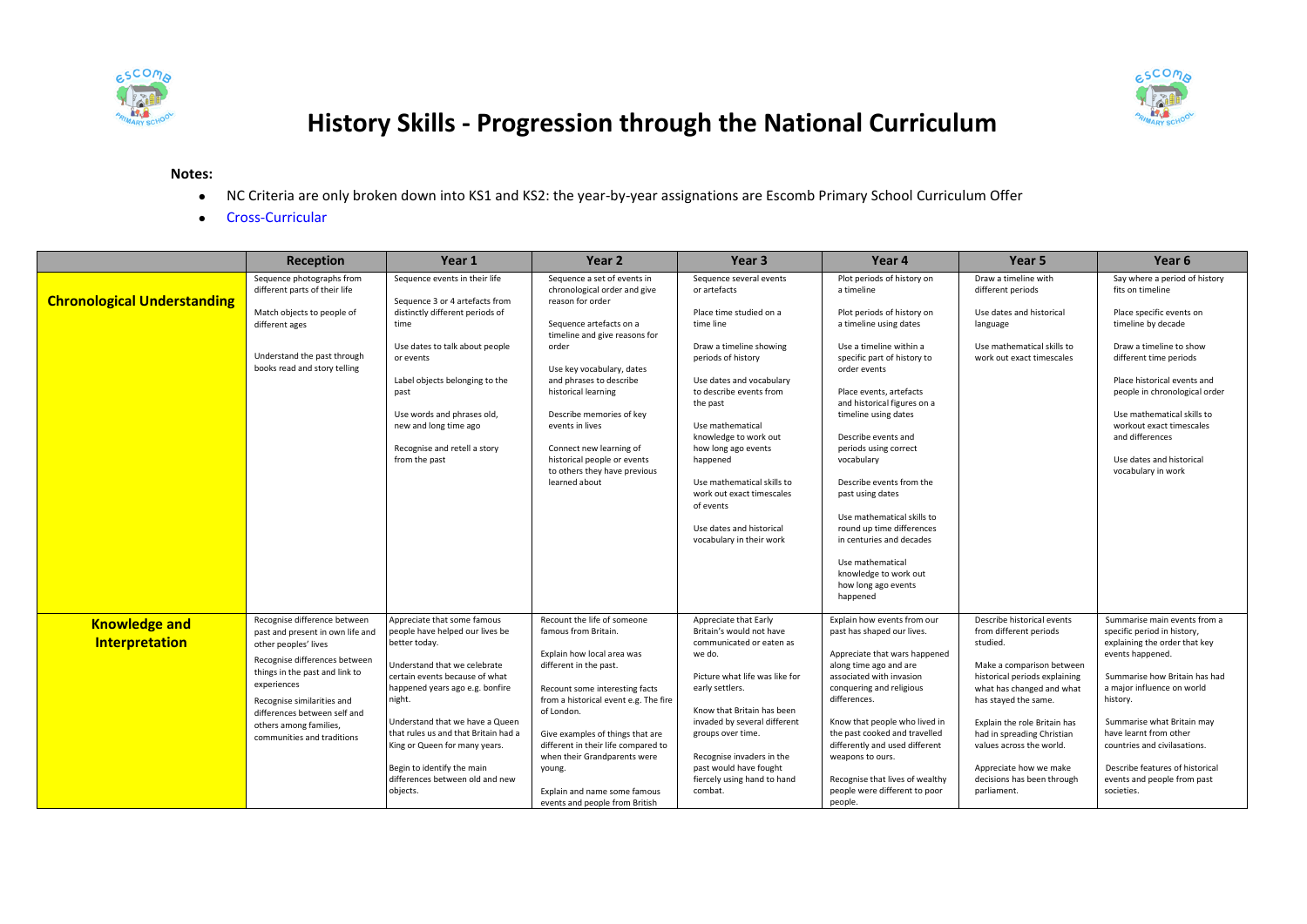



## **History Skills - Progression through the National Curriculum**

## **Notes:**

- NC Criteria are only broken down into KS1 and KS2: the year-by-year assignations are Escomb Primary School Curriculum Offer
- **•** Cross-Curricular

| Say where a period of history<br>Sequence photographs from<br>Sequence events in their life<br>Sequence a set of events in<br>Sequence several events<br>Plot periods of history on<br>Draw a timeline with<br>different parts of their life<br>chronological order and give<br>or artefacts<br>a timeline<br>different periods<br>fits on timeline<br><b>Chronological Understanding</b><br>Sequence 3 or 4 artefacts from<br>reason for order<br>Match objects to people of<br>distinctly different periods of<br>Place time studied on a<br>Plot periods of history on<br>Place specific events on<br>Use dates and historical<br>Sequence artefacts on a<br>time line<br>a timeline using dates<br>timeline by decade<br>time<br>language<br>different ages<br>timeline and give reasons for<br>Use mathematical skills to<br>Draw a timeline to show<br>Use dates to talk about people<br>order<br>Draw a timeline showing<br>Use a timeline within a<br>Understand the past through<br>specific part of history to<br>different time periods<br>or events<br>periods of history<br>work out exact timescales<br>books read and story telling<br>Use key vocabulary, dates<br>order events<br>and phrases to describe<br>Label objects belonging to the<br>Use dates and vocabulary<br>Place historical events and<br>historical learning<br>to describe events from<br>Place events, artefacts<br>people in chronological order<br>past<br>and historical figures on a<br>the past<br>Use words and phrases old,<br>Describe memories of key<br>timeline using dates<br>Use mathematical skills to<br>new and long time ago<br>workout exact timescales<br>events in lives<br>Use mathematical<br>and differences<br>knowledge to work out<br>Describe events and<br>Recognise and retell a story<br>periods using correct<br>Connect new learning of<br>how long ago events<br>from the past<br>historical people or events<br>vocabulary<br>Use dates and historical<br>happened<br>to others they have previous<br>vocabulary in work<br>learned about<br>Use mathematical skills to<br>Describe events from the<br>work out exact timescales<br>past using dates<br>of events<br>Use mathematical skills to<br>Use dates and historical<br>round up time differences<br>vocabulary in their work<br>in centuries and decades<br>Use mathematical<br>knowledge to work out<br>how long ago events<br>happened<br>Recognise difference between<br>Appreciate that some famous<br>Recount the life of someone<br>Appreciate that Early<br>Explain how events from our<br>Describe historical events<br>Summarise main events from a<br><b>Knowledge and</b><br>people have helped our lives be<br>famous from Britain.<br>Britain's would not have<br>past has shaped our lives.<br>from different periods<br>specific period in history,<br>past and present in own life and<br>Interpretation<br>communicated or eaten as<br>studied.<br>explaining the order that key<br>better today.<br>other peoples' lives<br>events happened.<br>Explain how local area was<br>we do.<br>Appreciate that wars happened<br>Recognise differences between<br>Understand that we celebrate<br>along time ago and are<br>Make a comparison between<br>different in the past.<br>things in the past and link to<br>certain events because of what<br>Picture what life was like for<br>associated with invasion<br>historical periods explaining<br>Summarise how Britain has had<br>experiences<br>early settlers.<br>conquering and religious<br>a major influence on world<br>happened years ago e.g. bonfire<br>what has changed and what<br>Recount some interesting facts<br>night.<br>differences.<br>has stayed the same.<br>from a historical event e.g. The fire<br>history.<br>Recognise similarities and<br>of London.<br>Know that Britain has been<br>differences between self and<br>invaded by several different<br>Know that people who lived in<br>Summarise what Britain may<br>Understand that we have a Queen<br>Explain the role Britain has<br>others among families,<br>that rules us and that Britain had a<br>the past cooked and travelled<br>have learnt from other<br>had in spreading Christian<br>Give examples of things that are<br>groups over time.<br>communities and traditions<br>differently and used different<br>countries and civilasations.<br>King or Queen for many years.<br>different in their life compared to<br>values across the world.<br>when their Grandparents were<br>Recognise invaders in the<br>weapons to ours.<br>Begin to identify the main<br>past would have fought<br>Describe features of historical<br>Appreciate how we make<br>young. | Reception | Year 1                          | Year 2 | Year 3                      | Year 4                          | Year <sub>5</sub>          | Year 6                      |
|------------------------------------------------------------------------------------------------------------------------------------------------------------------------------------------------------------------------------------------------------------------------------------------------------------------------------------------------------------------------------------------------------------------------------------------------------------------------------------------------------------------------------------------------------------------------------------------------------------------------------------------------------------------------------------------------------------------------------------------------------------------------------------------------------------------------------------------------------------------------------------------------------------------------------------------------------------------------------------------------------------------------------------------------------------------------------------------------------------------------------------------------------------------------------------------------------------------------------------------------------------------------------------------------------------------------------------------------------------------------------------------------------------------------------------------------------------------------------------------------------------------------------------------------------------------------------------------------------------------------------------------------------------------------------------------------------------------------------------------------------------------------------------------------------------------------------------------------------------------------------------------------------------------------------------------------------------------------------------------------------------------------------------------------------------------------------------------------------------------------------------------------------------------------------------------------------------------------------------------------------------------------------------------------------------------------------------------------------------------------------------------------------------------------------------------------------------------------------------------------------------------------------------------------------------------------------------------------------------------------------------------------------------------------------------------------------------------------------------------------------------------------------------------------------------------------------------------------------------------------------------------------------------------------------------------------------------------------------------------------------------------------------------------------------------------------------------------------------------------------------------------------------------------------------------------------------------------------------------------------------------------------------------------------------------------------------------------------------------------------------------------------------------------------------------------------------------------------------------------------------------------------------------------------------------------------------------------------------------------------------------------------------------------------------------------------------------------------------------------------------------------------------------------------------------------------------------------------------------------------------------------------------------------------------------------------------------------------------------------------------------------------------------------------------------------------------------------------------------------------------------------------------------------------------------------------------------------------------------------------------------------------------------------------------------------------------------------------------------------------------------------------------------------------------------------------------------------------------------------------------------------------------------------------------------------------------------------------------------------------------------------------------------------------------------------------------|-----------|---------------------------------|--------|-----------------------------|---------------------------------|----------------------------|-----------------------------|
|                                                                                                                                                                                                                                                                                                                                                                                                                                                                                                                                                                                                                                                                                                                                                                                                                                                                                                                                                                                                                                                                                                                                                                                                                                                                                                                                                                                                                                                                                                                                                                                                                                                                                                                                                                                                                                                                                                                                                                                                                                                                                                                                                                                                                                                                                                                                                                                                                                                                                                                                                                                                                                                                                                                                                                                                                                                                                                                                                                                                                                                                                                                                                                                                                                                                                                                                                                                                                                                                                                                                                                                                                                                                                                                                                                                                                                                                                                                                                                                                                                                                                                                                                                                                                                                                                                                                                                                                                                                                                                                                                                                                                                                                                                      |           |                                 |        |                             |                                 |                            |                             |
|                                                                                                                                                                                                                                                                                                                                                                                                                                                                                                                                                                                                                                                                                                                                                                                                                                                                                                                                                                                                                                                                                                                                                                                                                                                                                                                                                                                                                                                                                                                                                                                                                                                                                                                                                                                                                                                                                                                                                                                                                                                                                                                                                                                                                                                                                                                                                                                                                                                                                                                                                                                                                                                                                                                                                                                                                                                                                                                                                                                                                                                                                                                                                                                                                                                                                                                                                                                                                                                                                                                                                                                                                                                                                                                                                                                                                                                                                                                                                                                                                                                                                                                                                                                                                                                                                                                                                                                                                                                                                                                                                                                                                                                                                                      |           |                                 |        |                             |                                 |                            |                             |
|                                                                                                                                                                                                                                                                                                                                                                                                                                                                                                                                                                                                                                                                                                                                                                                                                                                                                                                                                                                                                                                                                                                                                                                                                                                                                                                                                                                                                                                                                                                                                                                                                                                                                                                                                                                                                                                                                                                                                                                                                                                                                                                                                                                                                                                                                                                                                                                                                                                                                                                                                                                                                                                                                                                                                                                                                                                                                                                                                                                                                                                                                                                                                                                                                                                                                                                                                                                                                                                                                                                                                                                                                                                                                                                                                                                                                                                                                                                                                                                                                                                                                                                                                                                                                                                                                                                                                                                                                                                                                                                                                                                                                                                                                                      |           |                                 |        |                             |                                 |                            |                             |
|                                                                                                                                                                                                                                                                                                                                                                                                                                                                                                                                                                                                                                                                                                                                                                                                                                                                                                                                                                                                                                                                                                                                                                                                                                                                                                                                                                                                                                                                                                                                                                                                                                                                                                                                                                                                                                                                                                                                                                                                                                                                                                                                                                                                                                                                                                                                                                                                                                                                                                                                                                                                                                                                                                                                                                                                                                                                                                                                                                                                                                                                                                                                                                                                                                                                                                                                                                                                                                                                                                                                                                                                                                                                                                                                                                                                                                                                                                                                                                                                                                                                                                                                                                                                                                                                                                                                                                                                                                                                                                                                                                                                                                                                                                      |           |                                 |        |                             |                                 |                            |                             |
|                                                                                                                                                                                                                                                                                                                                                                                                                                                                                                                                                                                                                                                                                                                                                                                                                                                                                                                                                                                                                                                                                                                                                                                                                                                                                                                                                                                                                                                                                                                                                                                                                                                                                                                                                                                                                                                                                                                                                                                                                                                                                                                                                                                                                                                                                                                                                                                                                                                                                                                                                                                                                                                                                                                                                                                                                                                                                                                                                                                                                                                                                                                                                                                                                                                                                                                                                                                                                                                                                                                                                                                                                                                                                                                                                                                                                                                                                                                                                                                                                                                                                                                                                                                                                                                                                                                                                                                                                                                                                                                                                                                                                                                                                                      |           |                                 |        |                             |                                 |                            |                             |
|                                                                                                                                                                                                                                                                                                                                                                                                                                                                                                                                                                                                                                                                                                                                                                                                                                                                                                                                                                                                                                                                                                                                                                                                                                                                                                                                                                                                                                                                                                                                                                                                                                                                                                                                                                                                                                                                                                                                                                                                                                                                                                                                                                                                                                                                                                                                                                                                                                                                                                                                                                                                                                                                                                                                                                                                                                                                                                                                                                                                                                                                                                                                                                                                                                                                                                                                                                                                                                                                                                                                                                                                                                                                                                                                                                                                                                                                                                                                                                                                                                                                                                                                                                                                                                                                                                                                                                                                                                                                                                                                                                                                                                                                                                      |           |                                 |        |                             |                                 |                            |                             |
|                                                                                                                                                                                                                                                                                                                                                                                                                                                                                                                                                                                                                                                                                                                                                                                                                                                                                                                                                                                                                                                                                                                                                                                                                                                                                                                                                                                                                                                                                                                                                                                                                                                                                                                                                                                                                                                                                                                                                                                                                                                                                                                                                                                                                                                                                                                                                                                                                                                                                                                                                                                                                                                                                                                                                                                                                                                                                                                                                                                                                                                                                                                                                                                                                                                                                                                                                                                                                                                                                                                                                                                                                                                                                                                                                                                                                                                                                                                                                                                                                                                                                                                                                                                                                                                                                                                                                                                                                                                                                                                                                                                                                                                                                                      |           |                                 |        |                             |                                 |                            |                             |
|                                                                                                                                                                                                                                                                                                                                                                                                                                                                                                                                                                                                                                                                                                                                                                                                                                                                                                                                                                                                                                                                                                                                                                                                                                                                                                                                                                                                                                                                                                                                                                                                                                                                                                                                                                                                                                                                                                                                                                                                                                                                                                                                                                                                                                                                                                                                                                                                                                                                                                                                                                                                                                                                                                                                                                                                                                                                                                                                                                                                                                                                                                                                                                                                                                                                                                                                                                                                                                                                                                                                                                                                                                                                                                                                                                                                                                                                                                                                                                                                                                                                                                                                                                                                                                                                                                                                                                                                                                                                                                                                                                                                                                                                                                      |           |                                 |        |                             |                                 |                            |                             |
|                                                                                                                                                                                                                                                                                                                                                                                                                                                                                                                                                                                                                                                                                                                                                                                                                                                                                                                                                                                                                                                                                                                                                                                                                                                                                                                                                                                                                                                                                                                                                                                                                                                                                                                                                                                                                                                                                                                                                                                                                                                                                                                                                                                                                                                                                                                                                                                                                                                                                                                                                                                                                                                                                                                                                                                                                                                                                                                                                                                                                                                                                                                                                                                                                                                                                                                                                                                                                                                                                                                                                                                                                                                                                                                                                                                                                                                                                                                                                                                                                                                                                                                                                                                                                                                                                                                                                                                                                                                                                                                                                                                                                                                                                                      |           |                                 |        |                             |                                 |                            |                             |
|                                                                                                                                                                                                                                                                                                                                                                                                                                                                                                                                                                                                                                                                                                                                                                                                                                                                                                                                                                                                                                                                                                                                                                                                                                                                                                                                                                                                                                                                                                                                                                                                                                                                                                                                                                                                                                                                                                                                                                                                                                                                                                                                                                                                                                                                                                                                                                                                                                                                                                                                                                                                                                                                                                                                                                                                                                                                                                                                                                                                                                                                                                                                                                                                                                                                                                                                                                                                                                                                                                                                                                                                                                                                                                                                                                                                                                                                                                                                                                                                                                                                                                                                                                                                                                                                                                                                                                                                                                                                                                                                                                                                                                                                                                      |           |                                 |        |                             |                                 |                            |                             |
|                                                                                                                                                                                                                                                                                                                                                                                                                                                                                                                                                                                                                                                                                                                                                                                                                                                                                                                                                                                                                                                                                                                                                                                                                                                                                                                                                                                                                                                                                                                                                                                                                                                                                                                                                                                                                                                                                                                                                                                                                                                                                                                                                                                                                                                                                                                                                                                                                                                                                                                                                                                                                                                                                                                                                                                                                                                                                                                                                                                                                                                                                                                                                                                                                                                                                                                                                                                                                                                                                                                                                                                                                                                                                                                                                                                                                                                                                                                                                                                                                                                                                                                                                                                                                                                                                                                                                                                                                                                                                                                                                                                                                                                                                                      |           |                                 |        |                             |                                 |                            |                             |
|                                                                                                                                                                                                                                                                                                                                                                                                                                                                                                                                                                                                                                                                                                                                                                                                                                                                                                                                                                                                                                                                                                                                                                                                                                                                                                                                                                                                                                                                                                                                                                                                                                                                                                                                                                                                                                                                                                                                                                                                                                                                                                                                                                                                                                                                                                                                                                                                                                                                                                                                                                                                                                                                                                                                                                                                                                                                                                                                                                                                                                                                                                                                                                                                                                                                                                                                                                                                                                                                                                                                                                                                                                                                                                                                                                                                                                                                                                                                                                                                                                                                                                                                                                                                                                                                                                                                                                                                                                                                                                                                                                                                                                                                                                      |           |                                 |        |                             |                                 |                            |                             |
|                                                                                                                                                                                                                                                                                                                                                                                                                                                                                                                                                                                                                                                                                                                                                                                                                                                                                                                                                                                                                                                                                                                                                                                                                                                                                                                                                                                                                                                                                                                                                                                                                                                                                                                                                                                                                                                                                                                                                                                                                                                                                                                                                                                                                                                                                                                                                                                                                                                                                                                                                                                                                                                                                                                                                                                                                                                                                                                                                                                                                                                                                                                                                                                                                                                                                                                                                                                                                                                                                                                                                                                                                                                                                                                                                                                                                                                                                                                                                                                                                                                                                                                                                                                                                                                                                                                                                                                                                                                                                                                                                                                                                                                                                                      |           |                                 |        |                             |                                 |                            |                             |
|                                                                                                                                                                                                                                                                                                                                                                                                                                                                                                                                                                                                                                                                                                                                                                                                                                                                                                                                                                                                                                                                                                                                                                                                                                                                                                                                                                                                                                                                                                                                                                                                                                                                                                                                                                                                                                                                                                                                                                                                                                                                                                                                                                                                                                                                                                                                                                                                                                                                                                                                                                                                                                                                                                                                                                                                                                                                                                                                                                                                                                                                                                                                                                                                                                                                                                                                                                                                                                                                                                                                                                                                                                                                                                                                                                                                                                                                                                                                                                                                                                                                                                                                                                                                                                                                                                                                                                                                                                                                                                                                                                                                                                                                                                      |           |                                 |        |                             |                                 |                            |                             |
|                                                                                                                                                                                                                                                                                                                                                                                                                                                                                                                                                                                                                                                                                                                                                                                                                                                                                                                                                                                                                                                                                                                                                                                                                                                                                                                                                                                                                                                                                                                                                                                                                                                                                                                                                                                                                                                                                                                                                                                                                                                                                                                                                                                                                                                                                                                                                                                                                                                                                                                                                                                                                                                                                                                                                                                                                                                                                                                                                                                                                                                                                                                                                                                                                                                                                                                                                                                                                                                                                                                                                                                                                                                                                                                                                                                                                                                                                                                                                                                                                                                                                                                                                                                                                                                                                                                                                                                                                                                                                                                                                                                                                                                                                                      |           |                                 |        |                             |                                 |                            |                             |
|                                                                                                                                                                                                                                                                                                                                                                                                                                                                                                                                                                                                                                                                                                                                                                                                                                                                                                                                                                                                                                                                                                                                                                                                                                                                                                                                                                                                                                                                                                                                                                                                                                                                                                                                                                                                                                                                                                                                                                                                                                                                                                                                                                                                                                                                                                                                                                                                                                                                                                                                                                                                                                                                                                                                                                                                                                                                                                                                                                                                                                                                                                                                                                                                                                                                                                                                                                                                                                                                                                                                                                                                                                                                                                                                                                                                                                                                                                                                                                                                                                                                                                                                                                                                                                                                                                                                                                                                                                                                                                                                                                                                                                                                                                      |           |                                 |        |                             |                                 |                            |                             |
|                                                                                                                                                                                                                                                                                                                                                                                                                                                                                                                                                                                                                                                                                                                                                                                                                                                                                                                                                                                                                                                                                                                                                                                                                                                                                                                                                                                                                                                                                                                                                                                                                                                                                                                                                                                                                                                                                                                                                                                                                                                                                                                                                                                                                                                                                                                                                                                                                                                                                                                                                                                                                                                                                                                                                                                                                                                                                                                                                                                                                                                                                                                                                                                                                                                                                                                                                                                                                                                                                                                                                                                                                                                                                                                                                                                                                                                                                                                                                                                                                                                                                                                                                                                                                                                                                                                                                                                                                                                                                                                                                                                                                                                                                                      |           |                                 |        |                             |                                 |                            |                             |
|                                                                                                                                                                                                                                                                                                                                                                                                                                                                                                                                                                                                                                                                                                                                                                                                                                                                                                                                                                                                                                                                                                                                                                                                                                                                                                                                                                                                                                                                                                                                                                                                                                                                                                                                                                                                                                                                                                                                                                                                                                                                                                                                                                                                                                                                                                                                                                                                                                                                                                                                                                                                                                                                                                                                                                                                                                                                                                                                                                                                                                                                                                                                                                                                                                                                                                                                                                                                                                                                                                                                                                                                                                                                                                                                                                                                                                                                                                                                                                                                                                                                                                                                                                                                                                                                                                                                                                                                                                                                                                                                                                                                                                                                                                      |           |                                 |        |                             |                                 |                            |                             |
|                                                                                                                                                                                                                                                                                                                                                                                                                                                                                                                                                                                                                                                                                                                                                                                                                                                                                                                                                                                                                                                                                                                                                                                                                                                                                                                                                                                                                                                                                                                                                                                                                                                                                                                                                                                                                                                                                                                                                                                                                                                                                                                                                                                                                                                                                                                                                                                                                                                                                                                                                                                                                                                                                                                                                                                                                                                                                                                                                                                                                                                                                                                                                                                                                                                                                                                                                                                                                                                                                                                                                                                                                                                                                                                                                                                                                                                                                                                                                                                                                                                                                                                                                                                                                                                                                                                                                                                                                                                                                                                                                                                                                                                                                                      |           |                                 |        |                             |                                 |                            |                             |
|                                                                                                                                                                                                                                                                                                                                                                                                                                                                                                                                                                                                                                                                                                                                                                                                                                                                                                                                                                                                                                                                                                                                                                                                                                                                                                                                                                                                                                                                                                                                                                                                                                                                                                                                                                                                                                                                                                                                                                                                                                                                                                                                                                                                                                                                                                                                                                                                                                                                                                                                                                                                                                                                                                                                                                                                                                                                                                                                                                                                                                                                                                                                                                                                                                                                                                                                                                                                                                                                                                                                                                                                                                                                                                                                                                                                                                                                                                                                                                                                                                                                                                                                                                                                                                                                                                                                                                                                                                                                                                                                                                                                                                                                                                      |           |                                 |        |                             |                                 |                            |                             |
|                                                                                                                                                                                                                                                                                                                                                                                                                                                                                                                                                                                                                                                                                                                                                                                                                                                                                                                                                                                                                                                                                                                                                                                                                                                                                                                                                                                                                                                                                                                                                                                                                                                                                                                                                                                                                                                                                                                                                                                                                                                                                                                                                                                                                                                                                                                                                                                                                                                                                                                                                                                                                                                                                                                                                                                                                                                                                                                                                                                                                                                                                                                                                                                                                                                                                                                                                                                                                                                                                                                                                                                                                                                                                                                                                                                                                                                                                                                                                                                                                                                                                                                                                                                                                                                                                                                                                                                                                                                                                                                                                                                                                                                                                                      |           |                                 |        |                             |                                 |                            |                             |
|                                                                                                                                                                                                                                                                                                                                                                                                                                                                                                                                                                                                                                                                                                                                                                                                                                                                                                                                                                                                                                                                                                                                                                                                                                                                                                                                                                                                                                                                                                                                                                                                                                                                                                                                                                                                                                                                                                                                                                                                                                                                                                                                                                                                                                                                                                                                                                                                                                                                                                                                                                                                                                                                                                                                                                                                                                                                                                                                                                                                                                                                                                                                                                                                                                                                                                                                                                                                                                                                                                                                                                                                                                                                                                                                                                                                                                                                                                                                                                                                                                                                                                                                                                                                                                                                                                                                                                                                                                                                                                                                                                                                                                                                                                      |           |                                 |        |                             |                                 |                            |                             |
|                                                                                                                                                                                                                                                                                                                                                                                                                                                                                                                                                                                                                                                                                                                                                                                                                                                                                                                                                                                                                                                                                                                                                                                                                                                                                                                                                                                                                                                                                                                                                                                                                                                                                                                                                                                                                                                                                                                                                                                                                                                                                                                                                                                                                                                                                                                                                                                                                                                                                                                                                                                                                                                                                                                                                                                                                                                                                                                                                                                                                                                                                                                                                                                                                                                                                                                                                                                                                                                                                                                                                                                                                                                                                                                                                                                                                                                                                                                                                                                                                                                                                                                                                                                                                                                                                                                                                                                                                                                                                                                                                                                                                                                                                                      |           |                                 |        |                             |                                 |                            |                             |
|                                                                                                                                                                                                                                                                                                                                                                                                                                                                                                                                                                                                                                                                                                                                                                                                                                                                                                                                                                                                                                                                                                                                                                                                                                                                                                                                                                                                                                                                                                                                                                                                                                                                                                                                                                                                                                                                                                                                                                                                                                                                                                                                                                                                                                                                                                                                                                                                                                                                                                                                                                                                                                                                                                                                                                                                                                                                                                                                                                                                                                                                                                                                                                                                                                                                                                                                                                                                                                                                                                                                                                                                                                                                                                                                                                                                                                                                                                                                                                                                                                                                                                                                                                                                                                                                                                                                                                                                                                                                                                                                                                                                                                                                                                      |           |                                 |        |                             |                                 |                            |                             |
|                                                                                                                                                                                                                                                                                                                                                                                                                                                                                                                                                                                                                                                                                                                                                                                                                                                                                                                                                                                                                                                                                                                                                                                                                                                                                                                                                                                                                                                                                                                                                                                                                                                                                                                                                                                                                                                                                                                                                                                                                                                                                                                                                                                                                                                                                                                                                                                                                                                                                                                                                                                                                                                                                                                                                                                                                                                                                                                                                                                                                                                                                                                                                                                                                                                                                                                                                                                                                                                                                                                                                                                                                                                                                                                                                                                                                                                                                                                                                                                                                                                                                                                                                                                                                                                                                                                                                                                                                                                                                                                                                                                                                                                                                                      |           |                                 |        |                             |                                 |                            |                             |
|                                                                                                                                                                                                                                                                                                                                                                                                                                                                                                                                                                                                                                                                                                                                                                                                                                                                                                                                                                                                                                                                                                                                                                                                                                                                                                                                                                                                                                                                                                                                                                                                                                                                                                                                                                                                                                                                                                                                                                                                                                                                                                                                                                                                                                                                                                                                                                                                                                                                                                                                                                                                                                                                                                                                                                                                                                                                                                                                                                                                                                                                                                                                                                                                                                                                                                                                                                                                                                                                                                                                                                                                                                                                                                                                                                                                                                                                                                                                                                                                                                                                                                                                                                                                                                                                                                                                                                                                                                                                                                                                                                                                                                                                                                      |           | differences between old and new |        | fiercely using hand to hand | Recognise that lives of wealthy | decisions has been through | events and people from past |
| people were different to poor<br>combat.<br>societies.<br>objects.<br>parliament.<br>Explain and name some famous<br>people.<br>events and people from British                                                                                                                                                                                                                                                                                                                                                                                                                                                                                                                                                                                                                                                                                                                                                                                                                                                                                                                                                                                                                                                                                                                                                                                                                                                                                                                                                                                                                                                                                                                                                                                                                                                                                                                                                                                                                                                                                                                                                                                                                                                                                                                                                                                                                                                                                                                                                                                                                                                                                                                                                                                                                                                                                                                                                                                                                                                                                                                                                                                                                                                                                                                                                                                                                                                                                                                                                                                                                                                                                                                                                                                                                                                                                                                                                                                                                                                                                                                                                                                                                                                                                                                                                                                                                                                                                                                                                                                                                                                                                                                                       |           |                                 |        |                             |                                 |                            |                             |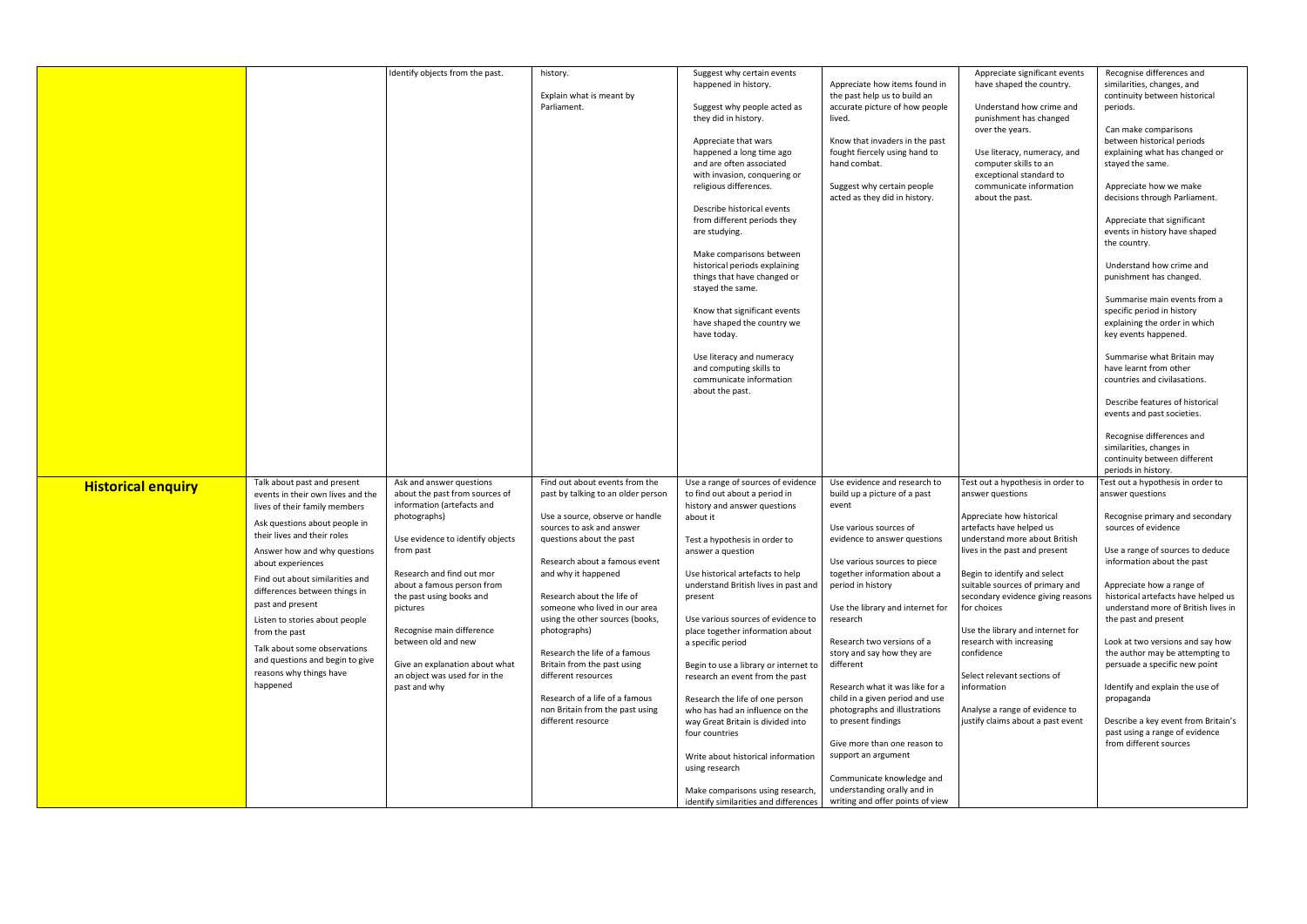|                           |                                                                                                   | Identify objects from the past.                                                          | history.                                                                                 | Suggest why certain events<br>happened in history.                                                                                     | Appreciate how items found in                                                                                 | Appreciate significant events<br>have shaped the country.                                                                     | Recognise differences and<br>similarities, changes, and                                                                            |
|---------------------------|---------------------------------------------------------------------------------------------------|------------------------------------------------------------------------------------------|------------------------------------------------------------------------------------------|----------------------------------------------------------------------------------------------------------------------------------------|---------------------------------------------------------------------------------------------------------------|-------------------------------------------------------------------------------------------------------------------------------|------------------------------------------------------------------------------------------------------------------------------------|
|                           |                                                                                                   |                                                                                          | Explain what is meant by<br>Parliament.                                                  | Suggest why people acted as<br>they did in history.                                                                                    | the past help us to build an<br>accurate picture of how people<br>lived.                                      | Understand how crime and<br>punishment has changed                                                                            | continuity between historical<br>periods.                                                                                          |
|                           |                                                                                                   |                                                                                          |                                                                                          | Appreciate that wars<br>happened a long time ago<br>and are often associated<br>with invasion, conquering or<br>religious differences. | Know that invaders in the past<br>fought fiercely using hand to<br>hand combat.<br>Suggest why certain people | over the years.<br>Use literacy, numeracy, and<br>computer skills to an<br>exceptional standard to<br>communicate information | Can make comparisons<br>between historical periods<br>explaining what has changed or<br>stayed the same.<br>Appreciate how we make |
|                           |                                                                                                   |                                                                                          |                                                                                          | Describe historical events                                                                                                             | acted as they did in history.                                                                                 | about the past.                                                                                                               | decisions through Parliament.                                                                                                      |
|                           |                                                                                                   |                                                                                          |                                                                                          | from different periods they<br>are studying.                                                                                           |                                                                                                               |                                                                                                                               | Appreciate that significant<br>events in history have shaped<br>the country.                                                       |
|                           |                                                                                                   |                                                                                          |                                                                                          | Make comparisons between<br>historical periods explaining<br>things that have changed or<br>stayed the same.                           |                                                                                                               |                                                                                                                               | Understand how crime and<br>punishment has changed.                                                                                |
|                           |                                                                                                   |                                                                                          |                                                                                          | Know that significant events<br>have shaped the country we<br>have today.                                                              |                                                                                                               |                                                                                                                               | Summarise main events from a<br>specific period in history<br>explaining the order in which<br>key events happened.                |
|                           |                                                                                                   |                                                                                          |                                                                                          | Use literacy and numeracy<br>and computing skills to<br>communicate information<br>about the past.                                     |                                                                                                               |                                                                                                                               | Summarise what Britain may<br>have learnt from other<br>countries and civilasations.                                               |
|                           |                                                                                                   |                                                                                          |                                                                                          |                                                                                                                                        |                                                                                                               |                                                                                                                               | Describe features of historical<br>events and past societies.                                                                      |
|                           |                                                                                                   |                                                                                          |                                                                                          |                                                                                                                                        |                                                                                                               |                                                                                                                               | Recognise differences and<br>similarities, changes in<br>continuity between different<br>periods in history.                       |
| <b>Historical enquiry</b> | Talk about past and present<br>events in their own lives and the<br>lives of their family members | Ask and answer questions<br>about the past from sources of<br>information (artefacts and | Find out about events from the<br>past by talking to an older person                     | Use a range of sources of evidence<br>to find out about a period in<br>history and answer questions                                    | Use evidence and research to<br>build up a picture of a past<br>event                                         | Test out a hypothesis in order to<br>answer questions                                                                         | Test out a hypothesis in order to<br>answer questions                                                                              |
|                           | Ask questions about people in<br>their lives and their roles<br>Answer how and why questions      | photographs)<br>Use evidence to identify objects<br>from past                            | Use a source, observe or handle<br>sources to ask and answer<br>questions about the past | about it<br>Test a hypothesis in order to<br>answer a question                                                                         | Use various sources of<br>evidence to answer questions                                                        | Appreciate how historical<br>artefacts have helped us<br>understand more about British<br>lives in the past and present       | Recognise primary and secondary<br>sources of evidence<br>Use a range of sources to deduce                                         |
|                           | about experiences<br>Find out about similarities and<br>differences between things in             | Research and find out mor<br>about a famous person from<br>the past using books and      | Research about a famous event<br>and why it happened<br>Research about the life of       | Use historical artefacts to help<br>understand British lives in past and<br>present                                                    | Use various sources to piece<br>together information about a<br>period in history                             | Begin to identify and select<br>suitable sources of primary and<br>secondary evidence giving reasons                          | information about the past<br>Appreciate how a range of<br>historical artefacts have helped us                                     |
|                           | past and present<br>Listen to stories about people<br>from the past                               | pictures<br>Recognise main difference                                                    | someone who lived in our area<br>using the other sources (books,<br>photographs)         | Use various sources of evidence to<br>place together information about                                                                 | Use the library and internet for<br>research                                                                  | for choices<br>Use the library and internet for                                                                               | understand more of British lives in<br>the past and present                                                                        |
|                           | Talk about some observations<br>and questions and begin to give                                   | between old and new<br>Give an explanation about what                                    | Research the life of a famous<br>Britain from the past using                             | a specific period<br>Begin to use a library or internet to                                                                             | Research two versions of a<br>story and say how they are<br>different                                         | research with increasing<br>confidence                                                                                        | Look at two versions and say how<br>the author may be attempting to<br>persuade a specific new point                               |
|                           | reasons why things have<br>happened                                                               | an object was used for in the<br>past and why                                            | different resources<br>Research of a life of a famous                                    | research an event from the past<br>Research the life of one person                                                                     | Research what it was like for a<br>child in a given period and use                                            | Select relevant sections of<br>information                                                                                    | Identify and explain the use of<br>propaganda                                                                                      |
|                           |                                                                                                   |                                                                                          | non Britain from the past using<br>different resource                                    | who has had an influence on the<br>way Great Britain is divided into<br>four countries                                                 | photographs and illustrations<br>to present findings<br>Give more than one reason to                          | Analyse a range of evidence to<br>justify claims about a past event                                                           | Describe a key event from Britain's<br>past using a range of evidence<br>from different sources                                    |
|                           |                                                                                                   |                                                                                          |                                                                                          | Write about historical information<br>using research                                                                                   | support an argument<br>Communicate knowledge and                                                              |                                                                                                                               |                                                                                                                                    |
|                           |                                                                                                   |                                                                                          |                                                                                          | Make comparisons using research,<br>identify similarities and differences                                                              | understanding orally and in<br>writing and offer points of view                                               |                                                                                                                               |                                                                                                                                    |